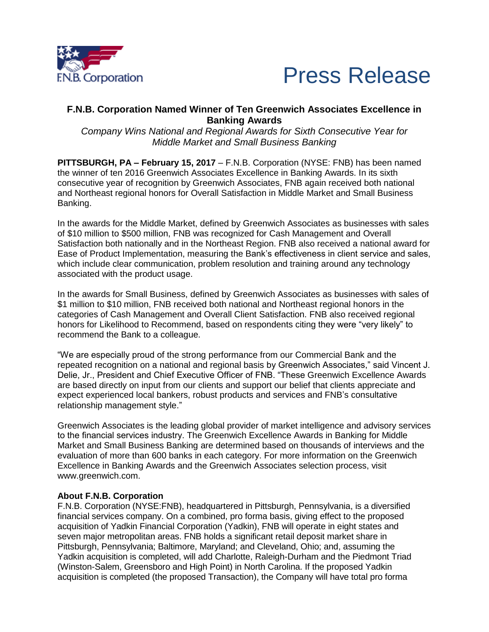



## **F.N.B. Corporation Named Winner of Ten Greenwich Associates Excellence in Banking Awards**

*Company Wins National and Regional Awards for Sixth Consecutive Year for Middle Market and Small Business Banking*

**PITTSBURGH, PA – February 15, 2017** – F.N.B. Corporation (NYSE: FNB) has been named the winner of ten 2016 Greenwich Associates Excellence in Banking Awards. In its sixth consecutive year of recognition by Greenwich Associates, FNB again received both national and Northeast regional honors for Overall Satisfaction in Middle Market and Small Business Banking.

In the awards for the Middle Market, defined by Greenwich Associates as businesses with sales of \$10 million to \$500 million, FNB was recognized for Cash Management and Overall Satisfaction both nationally and in the Northeast Region. FNB also received a national award for Ease of Product Implementation, measuring the Bank's effectiveness in client service and sales, which include clear communication, problem resolution and training around any technology associated with the product usage.

In the awards for Small Business, defined by Greenwich Associates as businesses with sales of \$1 million to \$10 million, FNB received both national and Northeast regional honors in the categories of Cash Management and Overall Client Satisfaction. FNB also received regional honors for Likelihood to Recommend, based on respondents citing they were "very likely" to recommend the Bank to a colleague.

"We are especially proud of the strong performance from our Commercial Bank and the repeated recognition on a national and regional basis by Greenwich Associates," said Vincent J. Delie, Jr., President and Chief Executive Officer of FNB. "These Greenwich Excellence Awards are based directly on input from our clients and support our belief that clients appreciate and expect experienced local bankers, robust products and services and FNB's consultative relationship management style."

Greenwich Associates is the leading global provider of market intelligence and advisory services to the financial services industry. The Greenwich Excellence Awards in Banking for Middle Market and Small Business Banking are determined based on thousands of interviews and the evaluation of more than 600 banks in each category. For more information on the Greenwich Excellence in Banking Awards and the Greenwich Associates selection process, visit www.greenwich.com.

## **About F.N.B. Corporation**

F.N.B. Corporation (NYSE:FNB), headquartered in Pittsburgh, Pennsylvania, is a diversified financial services company. On a combined, pro forma basis, giving effect to the proposed acquisition of Yadkin Financial Corporation (Yadkin), FNB will operate in eight states and seven major metropolitan areas. FNB holds a significant retail deposit market share in Pittsburgh, Pennsylvania; Baltimore, Maryland; and Cleveland, Ohio; and, assuming the Yadkin acquisition is completed, will add Charlotte, Raleigh-Durham and the Piedmont Triad (Winston-Salem, Greensboro and High Point) in North Carolina. If the proposed Yadkin acquisition is completed (the proposed Transaction), the Company will have total pro forma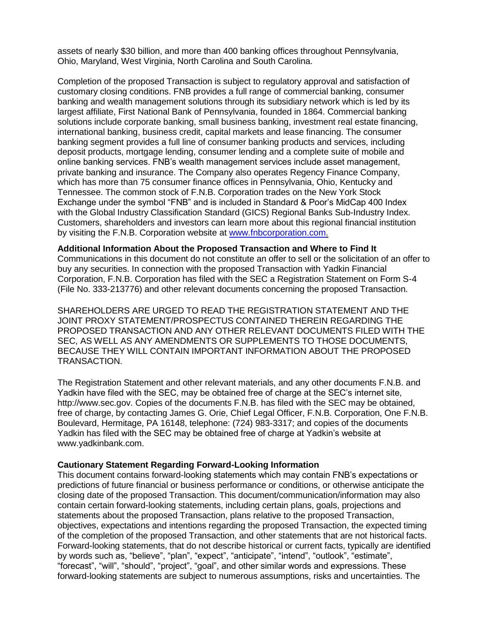assets of nearly \$30 billion, and more than 400 banking offices throughout Pennsylvania, Ohio, Maryland, West Virginia, North Carolina and South Carolina.

Completion of the proposed Transaction is subject to regulatory approval and satisfaction of customary closing conditions. FNB provides a full range of commercial banking, consumer banking and wealth management solutions through its subsidiary network which is led by its largest affiliate, First National Bank of Pennsylvania, founded in 1864. Commercial banking solutions include corporate banking, small business banking, investment real estate financing, international banking, business credit, capital markets and lease financing. The consumer banking segment provides a full line of consumer banking products and services, including deposit products, mortgage lending, consumer lending and a complete suite of mobile and online banking services. FNB's wealth management services include asset management, private banking and insurance. The Company also operates Regency Finance Company, which has more than 75 consumer finance offices in Pennsylvania, Ohio, Kentucky and Tennessee. The common stock of F.N.B. Corporation trades on the New York Stock Exchange under the symbol "FNB" and is included in Standard & Poor's MidCap 400 Index with the Global Industry Classification Standard (GICS) Regional Banks Sub-Industry Index. Customers, shareholders and investors can learn more about this regional financial institution by visiting the F.N.B. Corporation website at [www.fnbcorporation.com.](https://www.fnb-online.com/about-us)

## **Additional Information About the Proposed Transaction and Where to Find It**

Communications in this document do not constitute an offer to sell or the solicitation of an offer to buy any securities. In connection with the proposed Transaction with Yadkin Financial Corporation, F.N.B. Corporation has filed with the SEC a Registration Statement on Form S-4 (File No. 333-213776) and other relevant documents concerning the proposed Transaction.

SHAREHOLDERS ARE URGED TO READ THE REGISTRATION STATEMENT AND THE JOINT PROXY STATEMENT/PROSPECTUS CONTAINED THEREIN REGARDING THE PROPOSED TRANSACTION AND ANY OTHER RELEVANT DOCUMENTS FILED WITH THE SEC, AS WELL AS ANY AMENDMENTS OR SUPPLEMENTS TO THOSE DOCUMENTS, BECAUSE THEY WILL CONTAIN IMPORTANT INFORMATION ABOUT THE PROPOSED TRANSACTION.

The Registration Statement and other relevant materials, and any other documents F.N.B. and Yadkin have filed with the SEC, may be obtained free of charge at the SEC's internet site, http://www.sec.gov. Copies of the documents F.N.B. has filed with the SEC may be obtained, free of charge, by contacting James G. Orie, Chief Legal Officer, F.N.B. Corporation, One F.N.B. Boulevard, Hermitage, PA 16148, telephone: (724) 983-3317; and copies of the documents Yadkin has filed with the SEC may be obtained free of charge at Yadkin's website at www.yadkinbank.com.

## **Cautionary Statement Regarding Forward-Looking Information**

This document contains forward-looking statements which may contain FNB's expectations or predictions of future financial or business performance or conditions, or otherwise anticipate the closing date of the proposed Transaction. This document/communication/information may also contain certain forward-looking statements, including certain plans, goals, projections and statements about the proposed Transaction, plans relative to the proposed Transaction, objectives, expectations and intentions regarding the proposed Transaction, the expected timing of the completion of the proposed Transaction, and other statements that are not historical facts. Forward-looking statements, that do not describe historical or current facts, typically are identified by words such as, "believe", "plan", "expect", "anticipate", "intend", "outlook", "estimate", "forecast", "will", "should", "project", "goal", and other similar words and expressions. These forward-looking statements are subject to numerous assumptions, risks and uncertainties. The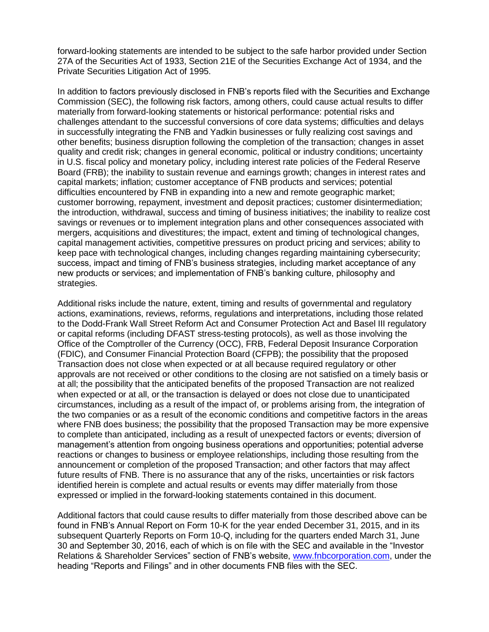forward-looking statements are intended to be subject to the safe harbor provided under Section 27A of the Securities Act of 1933, Section 21E of the Securities Exchange Act of 1934, and the Private Securities Litigation Act of 1995.

In addition to factors previously disclosed in FNB's reports filed with the Securities and Exchange Commission (SEC), the following risk factors, among others, could cause actual results to differ materially from forward-looking statements or historical performance: potential risks and challenges attendant to the successful conversions of core data systems; difficulties and delays in successfully integrating the FNB and Yadkin businesses or fully realizing cost savings and other benefits; business disruption following the completion of the transaction; changes in asset quality and credit risk; changes in general economic, political or industry conditions; uncertainty in U.S. fiscal policy and monetary policy, including interest rate policies of the Federal Reserve Board (FRB); the inability to sustain revenue and earnings growth; changes in interest rates and capital markets; inflation; customer acceptance of FNB products and services; potential difficulties encountered by FNB in expanding into a new and remote geographic market; customer borrowing, repayment, investment and deposit practices; customer disintermediation; the introduction, withdrawal, success and timing of business initiatives; the inability to realize cost savings or revenues or to implement integration plans and other consequences associated with mergers, acquisitions and divestitures; the impact, extent and timing of technological changes, capital management activities, competitive pressures on product pricing and services; ability to keep pace with technological changes, including changes regarding maintaining cybersecurity; success, impact and timing of FNB's business strategies, including market acceptance of any new products or services; and implementation of FNB's banking culture, philosophy and strategies.

Additional risks include the nature, extent, timing and results of governmental and regulatory actions, examinations, reviews, reforms, regulations and interpretations, including those related to the Dodd-Frank Wall Street Reform Act and Consumer Protection Act and Basel III regulatory or capital reforms (including DFAST stress-testing protocols), as well as those involving the Office of the Comptroller of the Currency (OCC), FRB, Federal Deposit Insurance Corporation (FDIC), and Consumer Financial Protection Board (CFPB); the possibility that the proposed Transaction does not close when expected or at all because required regulatory or other approvals are not received or other conditions to the closing are not satisfied on a timely basis or at all; the possibility that the anticipated benefits of the proposed Transaction are not realized when expected or at all, or the transaction is delayed or does not close due to unanticipated circumstances, including as a result of the impact of, or problems arising from, the integration of the two companies or as a result of the economic conditions and competitive factors in the areas where FNB does business; the possibility that the proposed Transaction may be more expensive to complete than anticipated, including as a result of unexpected factors or events; diversion of management's attention from ongoing business operations and opportunities; potential adverse reactions or changes to business or employee relationships, including those resulting from the announcement or completion of the proposed Transaction; and other factors that may affect future results of FNB. There is no assurance that any of the risks, uncertainties or risk factors identified herein is complete and actual results or events may differ materially from those expressed or implied in the forward-looking statements contained in this document.

Additional factors that could cause results to differ materially from those described above can be found in FNB's Annual Report on Form 10-K for the year ended December 31, 2015, and in its subsequent Quarterly Reports on Form 10-Q, including for the quarters ended March 31, June 30 and September 30, 2016, each of which is on file with the SEC and available in the "Investor Relations & Shareholder Services" section of FNB's website, [www.fnbcorporation.com,](https://www.fnb-online.com/about-us) under the heading "Reports and Filings" and in other documents FNB files with the SEC.